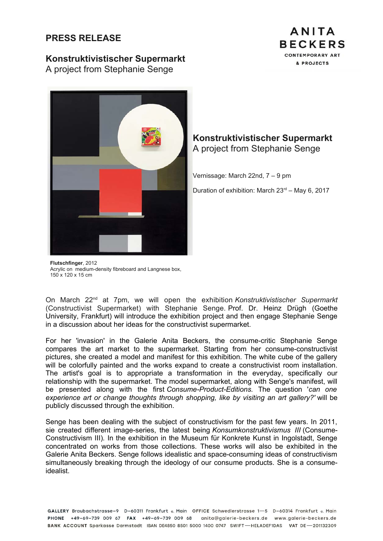## **PRESS RELEASE**

## **Konstruktivistischer Supermarkt**

A project from Stephanie Senge





**Konstruktivistischer Supermarkt** A project from Stephanie Senge

Vernissage: March 22nd, 7 – 9 pm

Duration of exhibition: March  $23<sup>rd</sup>$  – May 6, 2017

**Flutschfinger**, 2012 Acrylic on medium-density fibreboard and Langnese box. 150 x 120 x 15 cm

On March 22nd at 7pm, we will open the exhibition *Konstruktivistischer Supermarkt* (Constructivist Supermarket) with Stephanie Senge. Prof. Dr. Heinz Drügh (Goethe University, Frankfurt) will introduce the exhibition project and then engage Stephanie Senge in a discussion about her ideas for the constructivist supermarket.

For her 'invasion' in the Galerie Anita Beckers, the consume-critic Stephanie Senge compares the art market to the supermarket. Starting from her consume-constructivist pictures, she created a model and manifest for this exhibition. The white cube of the gallery will be colorfully painted and the works expand to create a constructivist room installation. The artist's goal is to appropriate a transformation in the everyday, specifically our relationship with the supermarket. The model supermarket, along with Senge's manifest, will be presented along with the first *Consume-Product-Editions.* The question '*can one experience art or change thoughts through shopping, like by visiting an art gallery?'* will be publicly discussed through the exhibition.

Senge has been dealing with the subject of constructivism for the past few years. In 2011, sie created different image-series, the latest being *Konsumkonstruktivismus III* (Consume-Constructivism III)*.* In the exhibition in the Museum für Konkrete Kunst in Ingolstadt, Senge concentrated on works from those collections. These works will also be exhibited in the Galerie Anita Beckers. Senge follows idealistic and space-consuming ideas of constructivism simultaneously breaking through the ideology of our consume products. She is a consumeidealist.

GALLERY Braubachstrasse-9 D-60311 Frankfurt a Main OFFICE Schwedlerstrasse 1-5 D-60314 Frankfurt a Main PHONE +49-69-739 009 67 FAX +49-69-739 009 68 anita@galerie-beckers.de www.galerie-beckers.de BANK ACCOUNT Sparkasse Darmstadt IBAN DE4850 8501 5000 1400 0747 SWIFT-HELADEF1DAS VAT DE-201132309